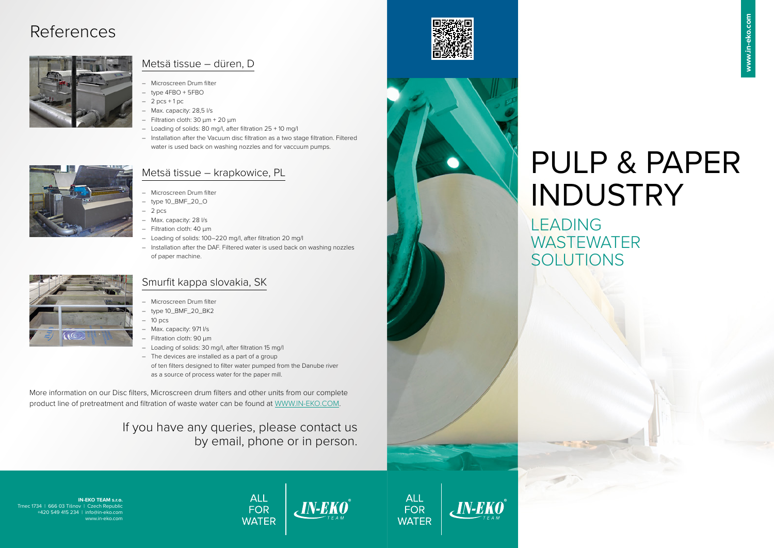# PULP & PAPER INDUSTRY **WASTEWATER**

# LEADING SOLUTIONS

**IN-EKO TEAM s.r.o.**  Trnec 1734 | 666 03 Tišnov | Czech Republic +420 549 415 234 | info@in-eko.com www.in-eko.com









### Metsä tissue – düren, D

- Microscreen Drum filter
- type 4FBO + 5FBO
- $-2$  pcs  $+1$  pc
- Max. capacity: 28,5 l/s
- $-$  Filtration cloth: 30  $\mu$ m + 20  $\mu$ m
- Loading of solids: 80 mg/l, after filtration 25 + 10 mg/l
- Installation after the Vacuum disc filtration as a two stage filtration. Filtered water is used back on washing nozzles and for vaccuum pumps.

### Metsä tissue – krapkowice, PL

- Microscreen Drum filter
- type 10\_BMF\_20\_O
- $-2$  pcs
- Max. capacity: 28 l/s
- Filtration cloth: 40 µm
- Loading of solids: 100–220 mg/l, after filtration 20 mg/l
- Installation after the DAF. Filtered water is used back on washing nozzles of paper machine.

### Smurfit kappa slovakia, SK

- Microscreen Drum filter
- type 10\_BMF\_20\_BK2
- $-10$  pcs
- Max. capacity: 971 l/s
- Filtration cloth: 90 µm
- Loading of solids: 30 mg/l, after filtration 15 mg/l
- The devices are installed as a part of a group of ten filters designed to filter water pumped from the Danube river as a source of process water for the paper mill.

## References



More information on our Disc filters, Microscreen drum filters and other units from our complete product line of pretreatment and filtration of waste water can be found at WWW.IN-EKO.COM.

### If you have any queries, please contact us by email, phone or in person.